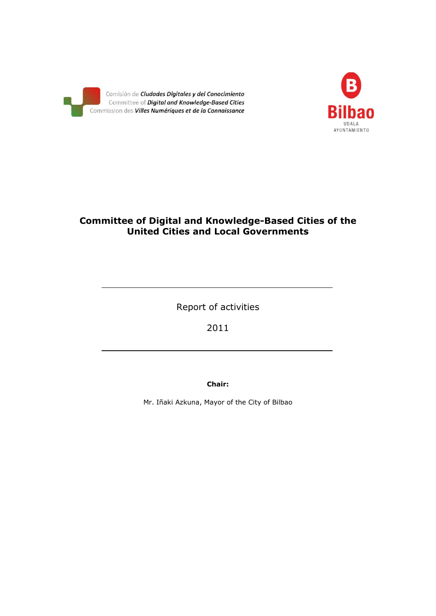



## **Committee of Digital and Knowledge-Based Cities of the United Cities and Local Governments**

Report of activities

2011

**Chair:**

Mr. Iñaki Azkuna, Mayor of the City of Bilbao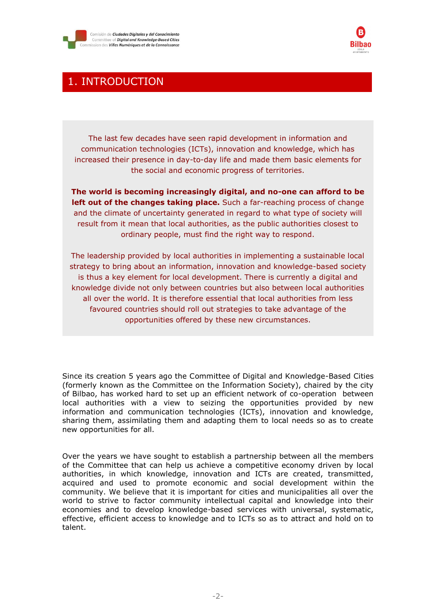



## 1. INTRODUCTION

The last few decades have seen rapid development in information and communication technologies (ICTs), innovation and knowledge, which has increased their presence in day-to-day life and made them basic elements for the social and economic progress of territories.

**The world is becoming increasingly digital, and no-one can afford to be left out of the changes taking place.** Such a far-reaching process of change and the climate of uncertainty generated in regard to what type of society will result from it mean that local authorities, as the public authorities closest to ordinary people, must find the right way to respond.

The leadership provided by local authorities in implementing a sustainable local strategy to bring about an information, innovation and knowledge-based society is thus a key element for local development. There is currently a digital and knowledge divide not only between countries but also between local authorities all over the world. It is therefore essential that local authorities from less favoured countries should roll out strategies to take advantage of the opportunities offered by these new circumstances.

Since its creation 5 years ago the Committee of Digital and Knowledge-Based Cities (formerly known as the Committee on the Information Society), chaired by the city of Bilbao, has worked hard to set up an efficient network of co-operation between local authorities with a view to seizing the opportunities provided by new information and communication technologies (ICTs), innovation and knowledge, sharing them, assimilating them and adapting them to local needs so as to create new opportunities for all.

Over the years we have sought to establish a partnership between all the members of the Committee that can help us achieve a competitive economy driven by local authorities, in which knowledge, innovation and ICTs are created, transmitted, acquired and used to promote economic and social development within the community. We believe that it is important for cities and municipalities all over the world to strive to factor community intellectual capital and knowledge into their economies and to develop knowledge-based services with universal, systematic, effective, efficient access to knowledge and to ICTs so as to attract and hold on to talent.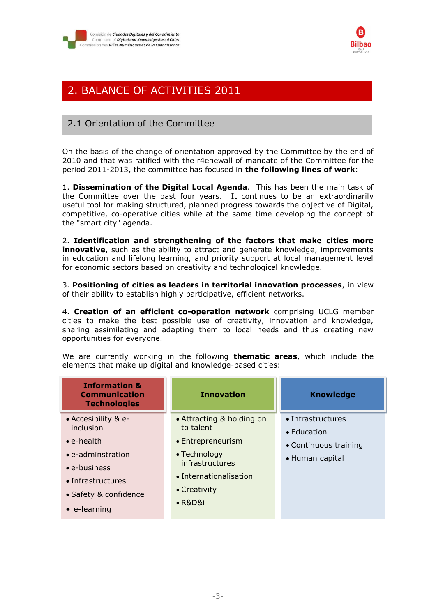



# 2. BALANCE OF ACTIVITIES 2011

## 2.1 Orientation of the Committee

On the basis of the change of orientation approved by the Committee by the end of 2010 and that was ratified with the r4enewall of mandate of the Committee for the period 2011-2013, the committee has focused in **the following lines of work**:

1. **Dissemination of the Digital Local Agenda**. This has been the main task of the Committee over the past four years. It continues to be an extraordinarily useful tool for making structured, planned progress towards the objective of Digital, competitive, co-operative cities while at the same time developing the concept of the "smart city" agenda.

2. **Identification and strengthening of the factors that make cities more innovative**, such as the ability to attract and generate knowledge, improvements in education and lifelong learning, and priority support at local management level for economic sectors based on creativity and technological knowledge.

3. **Positioning of cities as leaders in territorial innovation processes**, in view of their ability to establish highly participative, efficient networks.

4. **Creation of an efficient co-operation network** comprising UCLG member cities to make the best possible use of creativity, innovation and knowledge, sharing assimilating and adapting them to local needs and thus creating new opportunities for everyone.

We are currently working in the following **thematic areas**, which include the elements that make up digital and knowledge-based cities:

| <b>Information &amp;</b><br><b>Communication</b><br><b>Technologies</b>                                                                                                                   | <b>Innovation</b>                                                                                                                                           | <b>Knowledge</b>                                                             |
|-------------------------------------------------------------------------------------------------------------------------------------------------------------------------------------------|-------------------------------------------------------------------------------------------------------------------------------------------------------------|------------------------------------------------------------------------------|
| • Accesibility & e-<br>inclusion<br>$\bullet$ e-health<br>$\bullet$ e-adminstration<br>$\bullet$ e-business<br>$\bullet$ Infrastructures<br>• Safety & confidence<br>$\bullet$ e-learning | • Attracting & holding on<br>to talent<br>• Entrepreneurism<br>• Technology<br>infrastructures<br>• Internationalisation<br>• Creativity<br>$\bullet$ R&D&i | • Infrastructures<br>• Education<br>• Continuous training<br>• Human capital |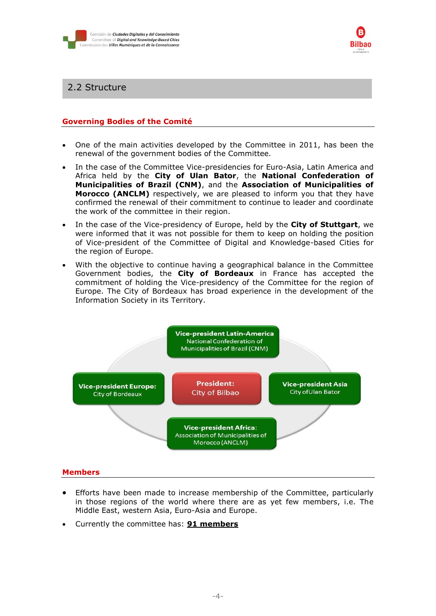



### 2.2 Structure

#### **Governing Bodies of the Comité**

- One of the main activities developed by the Committee in 2011, has been the renewal of the government bodies of the Committee.
- In the case of the Committee Vice-presidencies for Euro-Asia, Latin America and Africa held by the **City of Ulan Bator**, the **National Confederation of Municipalities of Brazil (CNM)**, and the **Association of Municipalities of Morocco (ANCLM)** respectively, we are pleased to inform you that they have confirmed the renewal of their commitment to continue to leader and coordinate the work of the committee in their region.
- In the case of the Vice-presidency of Europe, held by the **City of Stuttgart**, we were informed that it was not possible for them to keep on holding the position of Vice-president of the Committee of Digital and Knowledge-based Cities for the region of Europe.
- With the objective to continue having a geographical balance in the Committee Government bodies, the **City of Bordeaux** in France has accepted the commitment of holding the Vice-presidency of the Committee for the region of Europe. The City of Bordeaux has broad experience in the development of the Information Society in its Territory.



#### **Members**

- Efforts have been made to increase membership of the Committee, particularly in those regions of the world where there are as yet few members, i.e. The Middle East, western Asia, Euro-Asia and Europe.
- Currently the committee has: **91 members**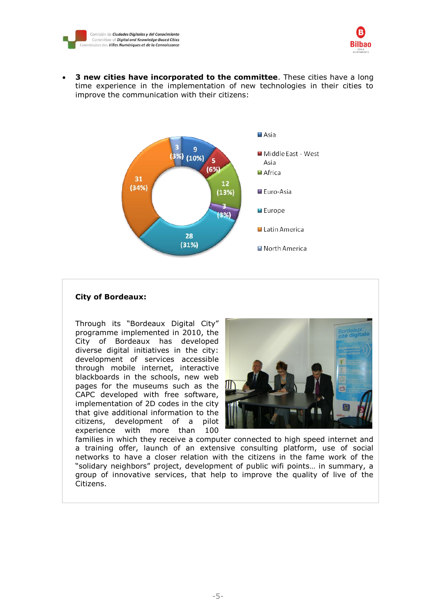



 **3 new cities have incorporated to the committee**. These cities have a long time experience in the implementation of new technologies in their cities to improve the communication with their citizens:



#### **City of Bordeaux:**

Through its "Bordeaux Digital City" programme implemented in 2010, the City of Bordeaux has developed diverse digital initiatives in the city: development of services accessible through mobile internet, interactive blackboards in the schools, new web pages for the museums such as the CAPC developed with free software, implementation of 2D codes in the city that give additional information to the citizens, development of a pilot experience with more than 100



families in which they receive a computer connected to high speed internet and a training offer, launch of an extensive consulting platform, use of social networks to have a closer relation with the citizens in the fame work of the "solidary neighbors" project, development of public wifi points… in summary, a group of innovative services, that help to improve the quality of live of the Citizens.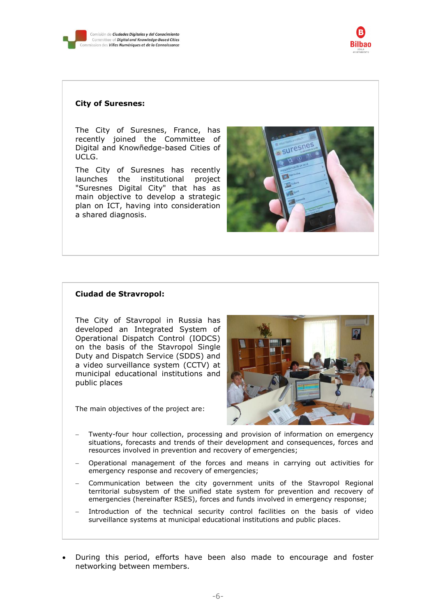



#### **City of Suresnes:**

The City of Suresnes, France, has recently joined the Committee of Digital and Knowñedge-based Cities of UCLG.

The City of Suresnes has recently launches the institutional project "Suresnes Digital City" that has as main objective to develop a strategic plan on ICT, having into consideration a shared diagnosis.



#### **Ciudad de Stravropol:**

The City of Stavropol in Russia has developed an Integrated System of Operational Dispatch Control (IODCS) on the basis of the Stavropol Single Duty and Dispatch Service (SDDS) and a video surveillance system (CCTV) at municipal educational institutions and public places

The main objectives of the project are:



- Twenty-four hour collection, processing and provision of information on emergency situations, forecasts and trends of their development and consequences, forces and resources involved in prevention and recovery of emergencies;
- Operational management of the forces and means in carrying out activities for emergency response and recovery of emergencies;
- Communication between the city government units of the Stavropol Regional territorial subsystem of the unified state system for prevention and recovery of emergencies (hereinafter RSES), forces and funds involved in emergency response;
- Introduction of the technical security control facilities on the basis of video surveillance systems at municipal educational institutions and public places.
- During this period, efforts have been also made to encourage and foster networking between members.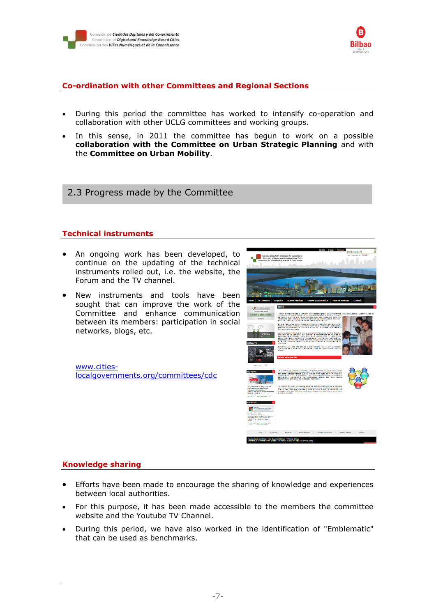



#### **Co-ordination with other Committees and Regional Sections**

- During this period the committee has worked to intensify co-operation and collaboration with other UCLG committees and working groups.
- In this sense, in 2011 the committee has begun to work on a possible **collaboration with the Committee on Urban Strategic Planning** and with the **Committee on Urban Mobility**.

2.3 Progress made by the Committee

#### **Technical instruments**

- An ongoing work has been developed, to continue on the updating of the technical instruments rolled out, i.e. the website, the Forum and the TV channel.
- New instruments and tools have been sought that can improve the work of the Committee and enhance communication between its members: participation in social networks, blogs, etc.

[www.cities](http://www.cities-localgovernments.org/committees/cdc)[localgovernments.org/committees/cdc](http://www.cities-localgovernments.org/committees/cdc)



### **Knowledge sharing**

- Efforts have been made to encourage the sharing of knowledge and experiences between local authorities.
- For this purpose, it has been made accessible to the members the committee website and the Youtube TV Channel.
- During this period, we have also worked in the identification of "Emblematic" that can be used as benchmarks.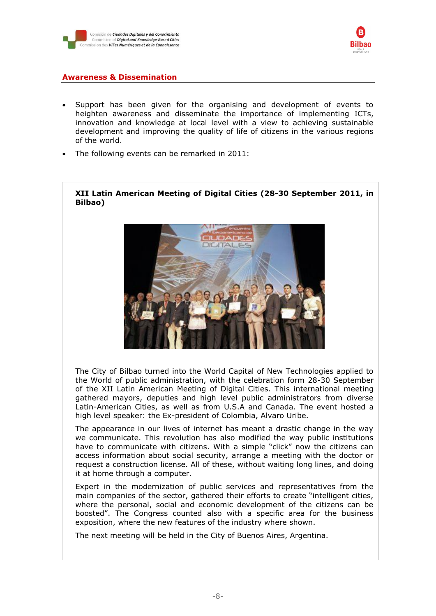



#### **Awareness & Dissemination**

- Support has been given for the organising and development of events to heighten awareness and disseminate the importance of implementing ICTs, innovation and knowledge at local level with a view to achieving sustainable development and improving the quality of life of citizens in the various regions of the world.
- The following events can be remarked in 2011:

#### **XII Latin American Meeting of Digital Cities (28-30 September 2011, in Bilbao)**



The City of Bilbao turned into the World Capital of New Technologies applied to the World of public administration, with the celebration form 28-30 September of the XII Latin American Meeting of Digital Cities. This international meeting gathered mayors, deputies and high level public administrators from diverse Latin-American Cities, as well as from U.S.A and Canada. The event hosted a high level speaker: the Ex-president of Colombia, Alvaro Uribe.

The appearance in our lives of internet has meant a drastic change in the way we communicate. This revolution has also modified the way public institutions have to communicate with citizens. With a simple "click" now the citizens can access information about social security, arrange a meeting with the doctor or request a construction license. All of these, without waiting long lines, and doing it at home through a computer.

Expert in the modernization of public services and representatives from the main companies of the sector, gathered their efforts to create "intelligent cities, where the personal, social and economic development of the citizens can be boosted". The Congress counted also with a specific area for the business exposition, where the new features of the industry where shown.

The next meeting will be held in the City of Buenos Aires, Argentina.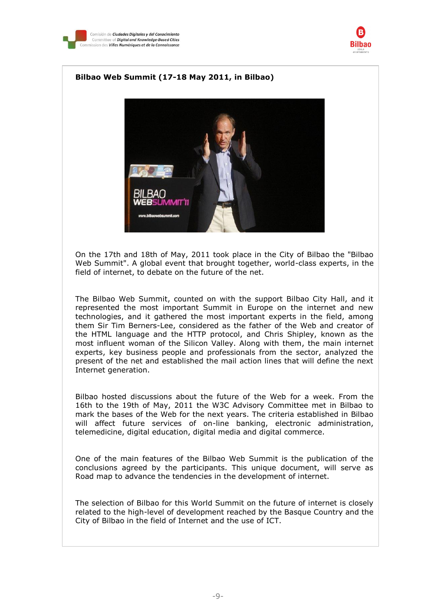



#### **Bilbao Web Summit (17-18 May 2011, in Bilbao)**



On the 17th and 18th of May, 2011 took place in the City of Bilbao the "Bilbao Web Summit". A global event that brought together, world-class experts, in the field of internet, to debate on the future of the net.

The Bilbao Web Summit, counted on with the support Bilbao City Hall, and it represented the most important Summit in Europe on the internet and new technologies, and it gathered the most important experts in the field, among them Sir Tim Berners-Lee, considered as the father of the Web and creator of the HTML language and the HTTP protocol, and Chris Shipley, known as the most influent woman of the Silicon Valley. Along with them, the main internet experts, key business people and professionals from the sector, analyzed the present of the net and established the mail action lines that will define the next Internet generation.

Bilbao hosted discussions about the future of the Web for a week. From the 16th to the 19th of May, 2011 the W3C Advisory Committee met in Bilbao to mark the bases of the Web for the next years. The criteria established in Bilbao will affect future services of on-line banking, electronic administration, telemedicine, digital education, digital media and digital commerce.

One of the main features of the Bilbao Web Summit is the publication of the conclusions agreed by the participants. This unique document, will serve as Road map to advance the tendencies in the development of internet.

The selection of Bilbao for this World Summit on the future of internet is closely related to the high-level of development reached by the Basque Country and the City of Bilbao in the field of Internet and the use of ICT.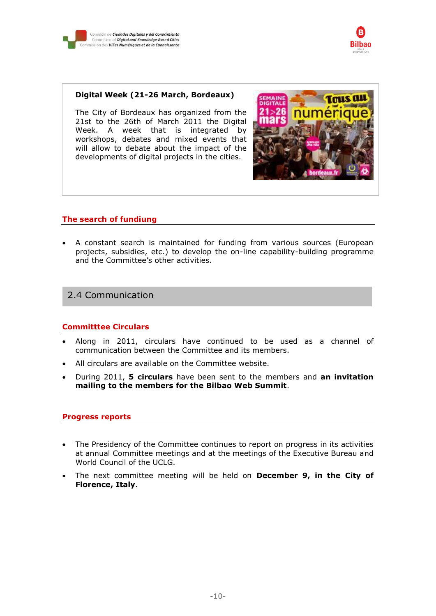



#### **Digital Week (21-26 March, Bordeaux)**

The City of Bordeaux has organized from the 21st to the 26th of March 2011 the Digital Week. A week that is integrated by workshops, debates and mixed events that will allow to debate about the impact of the developments of digital projects in the cities.



#### **The search of fundiung**

 A constant search is maintained for funding from various sources (European projects, subsidies, etc.) to develop the on-line capability-building programme and the Committee's other activities.

### 2.4 Communication

#### **Committtee Circulars**

- Along in 2011, circulars have continued to be used as a channel of communication between the Committee and its members.
- All circulars are available on the Committee website.
- During 2011, **5 circulars** have been sent to the members and **an invitation mailing to the members for the Bilbao Web Summit**.

#### **Progress reports**

- The Presidency of the Committee continues to report on progress in its activities at annual Committee meetings and at the meetings of the Executive Bureau and World Council of the UCLG.
- The next committee meeting will be held on **December 9, in the City of Florence, Italy**.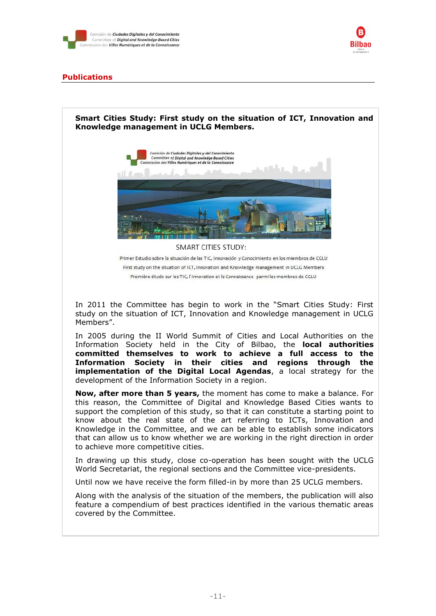



#### **Publications**



In 2005 during the II World Summit of Cities and Local Authorities on the Information Society held in the City of Bilbao, the **local authorities committed themselves to work to achieve a full access to the Information Society in their cities and regions through the implementation of the Digital Local Agendas**, a local strategy for the development of the Information Society in a region.

**Now, after more than 5 years,** the moment has come to make a balance. For this reason, the Committee of Digital and Knowledge Based Cities wants to support the completion of this study, so that it can constitute a starting point to know about the real state of the art referring to ICTs, Innovation and Knowledge in the Committee, and we can be able to establish some indicators that can allow us to know whether we are working in the right direction in order to achieve more competitive cities.

In drawing up this study, close co-operation has been sought with the UCLG World Secretariat, the regional sections and the Committee vice-presidents.

Until now we have receive the form filled-in by more than 25 UCLG members.

Along with the analysis of the situation of the members, the publication will also feature a compendium of best practices identified in the various thematic areas covered by the Committee.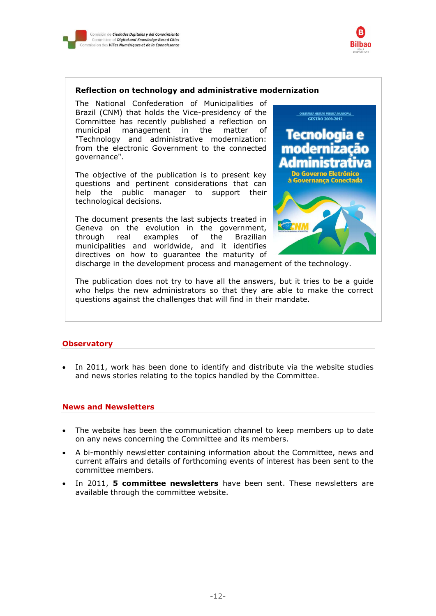



#### **Reflection on technology and administrative modernization**

The National Confederation of Municipalities of Brazil (CNM) that holds the Vice-presidency of the Committee has recently published a reflection on municipal management in the matter of "Technology and administrative modernization: from the electronic Government to the connected governance".

The objective of the publication is to present key questions and pertinent considerations that can help the public manager to support their technological decisions.

The document presents the last subjects treated in Geneva on the evolution in the government, through real examples of the Brazilian municipalities and worldwide, and it identifies directives on how to guarantee the maturity of



discharge in the development process and management of the technology.

The publication does not try to have all the answers, but it tries to be a guide who helps the new administrators so that they are able to make the correct questions against the challenges that will find in their mandate.

#### **Observatory**

 In 2011, work has been done to identify and distribute via the website studies and news stories relating to the topics handled by the Committee.

#### **News and Newsletters**

- The website has been the communication channel to keep members up to date on any news concerning the Committee and its members.
- A bi-monthly newsletter containing information about the Committee, news and current affairs and details of forthcoming events of interest has been sent to the committee members.
- In 2011, **5 committee newsletters** have been sent. These newsletters are available through the committee website.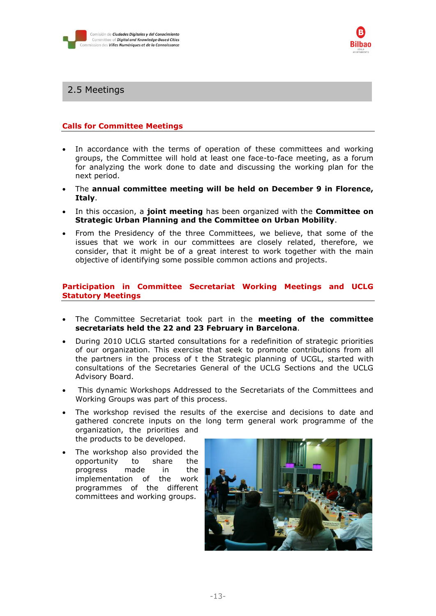



## 2.5 Meetings

#### **Calls for Committee Meetings**

- In accordance with the terms of operation of these committees and working groups, the Committee will hold at least one face-to-face meeting, as a forum for analyzing the work done to date and discussing the working plan for the next period.
- The **annual committee meeting will be held on December 9 in Florence, Italy**.
- In this occasion, a **joint meeting** has been organized with the **Committee on Strategic Urban Planning and the Committee on Urban Mobility**.
- From the Presidency of the three Committees, we believe, that some of the issues that we work in our committees are closely related, therefore, we consider, that it might be of a great interest to work together with the main objective of identifying some possible common actions and projects.

#### **Participation in Committee Secretariat Working Meetings and UCLG Statutory Meetings**

- The Committee Secretariat took part in the **meeting of the committee secretariats held the 22 and 23 February in Barcelona**.
- During 2010 UCLG started consultations for a redefinition of strategic priorities of our organization. This exercise that seek to promote contributions from all the partners in the process of t the Strategic planning of UCGL, started with consultations of the Secretaries General of the UCLG Sections and the UCLG Advisory Board.
- This dynamic Workshops Addressed to the Secretariats of the Committees and Working Groups was part of this process.
- The workshop revised the results of the exercise and decisions to date and gathered concrete inputs on the long term general work programme of the organization, the priorities and the products to be developed.
- The workshop also provided the opportunity to share the progress made in the implementation of the work programmes of the different committees and working groups.

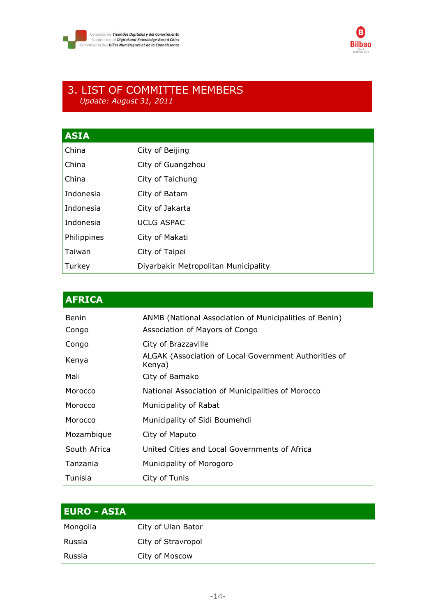



## 3. LIST OF COMMITTEE MEMBERS *Update: August 31, 2011*

| <b>ASIA</b> |                                      |
|-------------|--------------------------------------|
| China       | City of Beijing                      |
| China       | City of Guangzhou                    |
| China       | City of Taichung                     |
| Indonesia   | City of Batam                        |
| Indonesia   | City of Jakarta                      |
| Indonesia   | <b>UCLG ASPAC</b>                    |
| Philippines | City of Makati                       |
| Taiwan      | City of Taipei                       |
| Turkey      | Diyarbakir Metropolitan Municipality |

| <b>AFRICA</b> |                                                                 |
|---------------|-----------------------------------------------------------------|
| Benin         | ANMB (National Association of Municipalities of Benin)          |
| Congo         | Association of Mayors of Congo                                  |
| Congo         | City of Brazzaville                                             |
| Kenya         | ALGAK (Association of Local Government Authorities of<br>Kenya) |
| Mali          | City of Bamako                                                  |
| Morocco       | National Association of Municipalities of Morocco               |
| Morocco       | Municipality of Rabat                                           |
| Morocco       | Municipality of Sidi Boumehdi                                   |
| Mozambique    | City of Maputo                                                  |
| South Africa  | United Cities and Local Governments of Africa                   |
| Tanzania      | Municipality of Morogoro                                        |
| Tunisia       | City of Tunis                                                   |

| <u>  EURO - ASIA </u> |                    |  |
|-----------------------|--------------------|--|
| Mongolia              | City of Ulan Bator |  |
| ' Russia              | City of Stravropol |  |
| Russia                | City of Moscow     |  |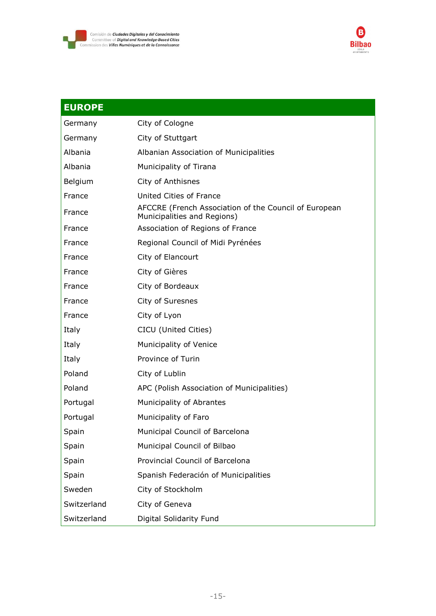



| <b>EUROPE</b> |                                                                                      |
|---------------|--------------------------------------------------------------------------------------|
| Germany       | City of Cologne                                                                      |
| Germany       | City of Stuttgart                                                                    |
| Albania       | Albanian Association of Municipalities                                               |
| Albania       | Municipality of Tirana                                                               |
| Belgium       | City of Anthisnes                                                                    |
| France        | United Cities of France                                                              |
| France        | AFCCRE (French Association of the Council of European<br>Municipalities and Regions) |
| France        | Association of Regions of France                                                     |
| France        | Regional Council of Midi Pyrénées                                                    |
| France        | City of Elancourt                                                                    |
| France        | City of Gières                                                                       |
| France        | City of Bordeaux                                                                     |
| France        | City of Suresnes                                                                     |
| France        | City of Lyon                                                                         |
| Italy         | CICU (United Cities)                                                                 |
| Italy         | Municipality of Venice                                                               |
| Italy         | Province of Turin                                                                    |
| Poland        | City of Lublin                                                                       |
| Poland        | APC (Polish Association of Municipalities)                                           |
| Portugal      | Municipality of Abrantes                                                             |
| Portugal      | Municipality of Faro                                                                 |
| Spain         | Municipal Council of Barcelona                                                       |
| Spain         | Municipal Council of Bilbao                                                          |
| Spain         | Provincial Council of Barcelona                                                      |
| Spain         | Spanish Federación of Municipalities                                                 |
| Sweden        | City of Stockholm                                                                    |
| Switzerland   | City of Geneva                                                                       |
| Switzerland   | Digital Solidarity Fund                                                              |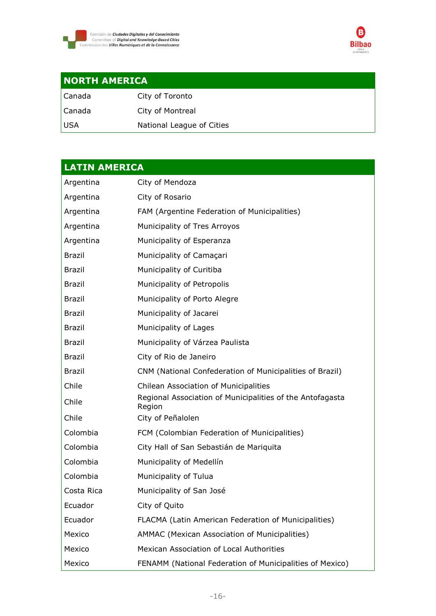



## **NORTH AMERICA**

| l Canada | City of Toronto           |
|----------|---------------------------|
| l Canada | City of Montreal          |
| l USA.   | National League of Cities |

# **LATIN AMERICA** Argentina City of Mendoza Argentina City of Rosario Argentina FAM (Argentine Federation of Municipalities) Argentina Municipality of Tres Arroyos Argentina Municipality of Esperanza Brazil Municipality of Camaçari Brazil Municipality of Curitiba Brazil Municipality of Petropolis Brazil Municipality of Porto Alegre Brazil Municipality of Jacarei Brazil Municipality of Lages Brazil Municipality of Várzea Paulista Brazil City of Rio de Janeiro Brazil CNM (National Confederation of Municipalities of Brazil) Chile Chilean Association of Municipalities Chile Regional Association of Municipalities of the Antofagasta Region Chile City of Peñalolen Colombia FCM (Colombian Federation of Municipalities) Colombia City Hall of San Sebastián de Mariquita Colombia Municipality of Medellín Colombia Municipality of Tulua Costa Rica Municipality of San José Ecuador City of Quito Ecuador FLACMA (Latin American Federation of Municipalities) Mexico **AMMAC** (Mexican Association of Municipalities) Mexico Mexican Association of Local Authorities Mexico FENAMM (National Federation of Municipalities of Mexico)